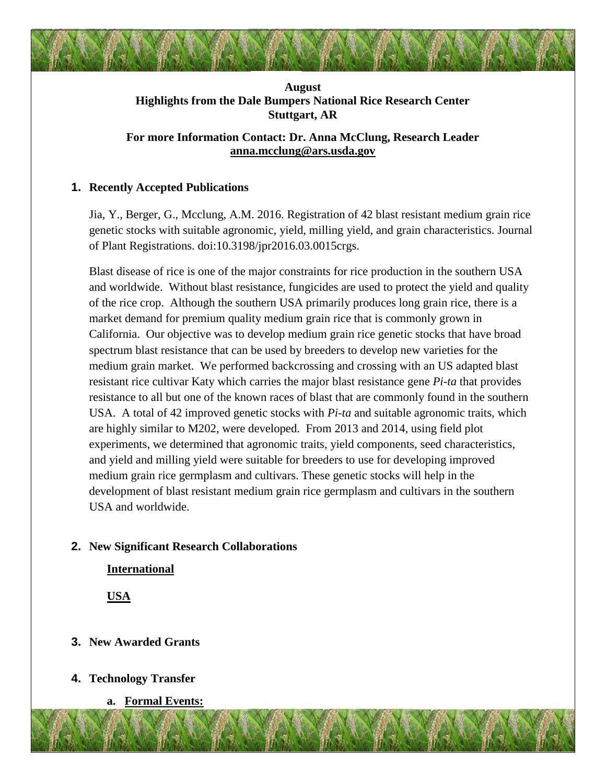## **August Highlights from the Dale Bumpers National Rice Research Center Stuttgart, AR**

# **For more Information Contact: Dr. Anna McClung, Research Leader [anna.mcclung@ars.usda.gov](mailto:anna.mcclung@ars.usda.gov)**

## **1. Recently Accepted Publications**

Jia, Y., Berger, G., Mcclung, A.M. 2016. Registration of 42 blast resistant medium grain rice genetic stocks with suitable agronomic, yield, milling yield, and grain characteristics. Journal of Plant Registrations. doi:10.3198/jpr2016.03.0015crgs.

Blast disease of rice is one of the major constraints for rice production in the southern USA and worldwide. Without blast resistance, fungicides are used to protect the yield and quality of the rice crop. Although the southern USA primarily produces long grain rice, there is a market demand for premium quality medium grain rice that is commonly grown in California. Our objective was to develop medium grain rice genetic stocks that have broad spectrum blast resistance that can be used by breeders to develop new varieties for the medium grain market. We performed backcrossing and crossing with an US adapted blast resistant rice cultivar Katy which carries the major blast resistance gene *Pi-ta* that provides resistance to all but one of the known races of blast that are commonly found in the southern USA. A total of 42 improved genetic stocks with *Pi-ta* and suitable agronomic traits, which are highly similar to M202, were developed. From 2013 and 2014, using field plot experiments, we determined that agronomic traits, yield components, seed characteristics, and yield and milling yield were suitable for breeders to use for developing improved medium grain rice germplasm and cultivars. These genetic stocks will help in the development of blast resistant medium grain rice germplasm and cultivars in the southern USA and worldwide.

# **2. New Significant Research Collaborations**

**International**

**USA**

# **3. New Awarded Grants**

- **4. Technology Transfer**
	- **a. Formal Events:**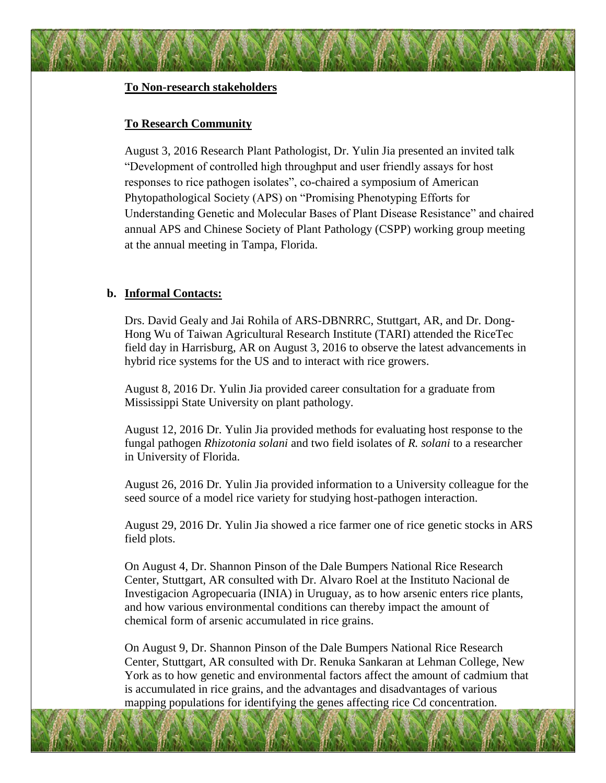#### **To Non-research stakeholders**

#### **To Research Community**

August 3, 2016 Research Plant Pathologist, Dr. Yulin Jia presented an invited talk "Development of controlled high throughput and user friendly assays for host responses to rice pathogen isolates", co-chaired a symposium of American Phytopathological Society (APS) on "Promising Phenotyping Efforts for Understanding Genetic and Molecular Bases of Plant Disease Resistance" and chaired annual APS and Chinese Society of Plant Pathology (CSPP) working group meeting at the annual meeting in Tampa, Florida.

## **b. Informal Contacts:**

Drs. David Gealy and Jai Rohila of ARS-DBNRRC, Stuttgart, AR, and Dr. Dong-Hong Wu of Taiwan Agricultural Research Institute (TARI) attended the RiceTec field day in Harrisburg, AR on August 3, 2016 to observe the latest advancements in hybrid rice systems for the US and to interact with rice growers.

August 8, 2016 Dr. Yulin Jia provided career consultation for a graduate from Mississippi State University on plant pathology.

August 12, 2016 Dr. Yulin Jia provided methods for evaluating host response to the fungal pathogen *Rhizotonia solani* and two field isolates of *R. solani* to a researcher in University of Florida.

August 26, 2016 Dr. Yulin Jia provided information to a University colleague for the seed source of a model rice variety for studying host-pathogen interaction.

August 29, 2016 Dr. Yulin Jia showed a rice farmer one of rice genetic stocks in ARS field plots.

On August 4, Dr. Shannon Pinson of the Dale Bumpers National Rice Research Center, Stuttgart, AR consulted with Dr. Alvaro Roel at the Instituto Nacional de Investigacion Agropecuaria (INIA) in Uruguay, as to how arsenic enters rice plants, and how various environmental conditions can thereby impact the amount of chemical form of arsenic accumulated in rice grains.

On August 9, Dr. Shannon Pinson of the Dale Bumpers National Rice Research Center, Stuttgart, AR consulted with Dr. Renuka Sankaran at Lehman College, New York as to how genetic and environmental factors affect the amount of cadmium that is accumulated in rice grains, and the advantages and disadvantages of various mapping populations for identifying the genes affecting rice Cd concentration.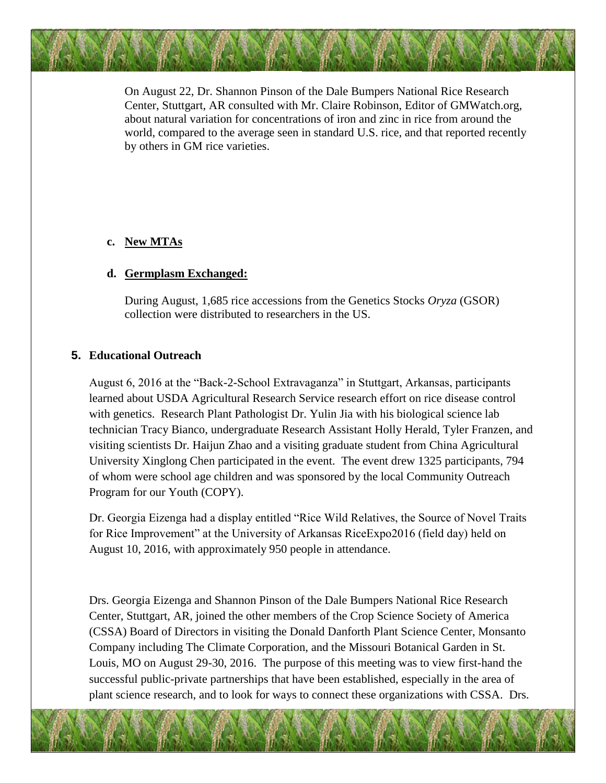On August 22, Dr. Shannon Pinson of the Dale Bumpers National Rice Research Center, Stuttgart, AR consulted with Mr. Claire Robinson, Editor of GMWatch.org, about natural variation for concentrations of iron and zinc in rice from around the world, compared to the average seen in standard U.S. rice, and that reported recently by others in GM rice varieties.

## **c. New MTAs**

#### **d. Germplasm Exchanged:**

During August, 1,685 rice accessions from the Genetics Stocks *Oryza* (GSOR) collection were distributed to researchers in the US.

## **5. Educational Outreach**

August 6, 2016 at the "Back-2-School Extravaganza" in Stuttgart, Arkansas, participants learned about USDA Agricultural Research Service research effort on rice disease control with genetics. Research Plant Pathologist Dr. Yulin Jia with his biological science lab technician Tracy Bianco, undergraduate Research Assistant Holly Herald, Tyler Franzen, and visiting scientists Dr. Haijun Zhao and a visiting graduate student from China Agricultural University Xinglong Chen participated in the event. The event drew 1325 participants, 794 of whom were school age children and was sponsored by the local Community Outreach Program for our Youth (COPY).

Dr. Georgia Eizenga had a display entitled "Rice Wild Relatives, the Source of Novel Traits for Rice Improvement" at the University of Arkansas RiceExpo2016 (field day) held on August 10, 2016, with approximately 950 people in attendance.

Drs. Georgia Eizenga and Shannon Pinson of the Dale Bumpers National Rice Research Center, Stuttgart, AR, joined the other members of the Crop Science Society of America (CSSA) Board of Directors in visiting the Donald Danforth Plant Science Center, Monsanto Company including The Climate Corporation, and the Missouri Botanical Garden in St. Louis, MO on August 29-30, 2016. The purpose of this meeting was to view first-hand the successful public-private partnerships that have been established, especially in the area of plant science research, and to look for ways to connect these organizations with CSSA. Drs.